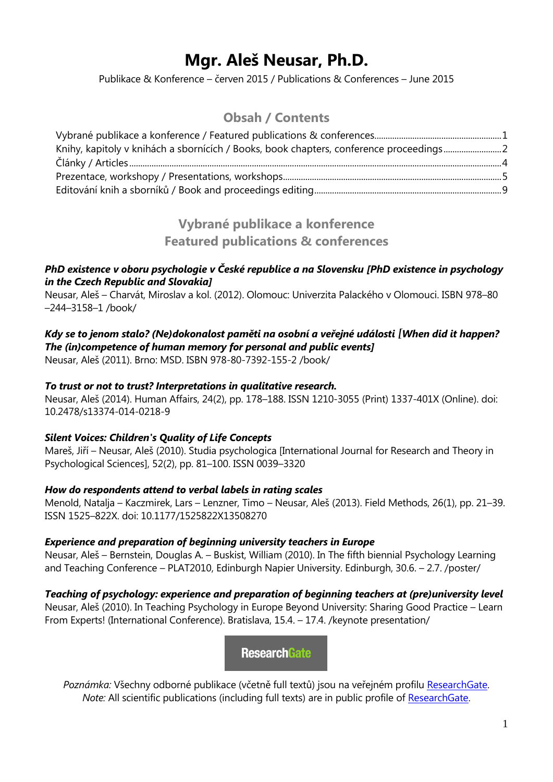# **Mgr. Aleš Neusar, Ph.D.**

Publikace & Konference – červen 2015 / Publications & Conferences – June 2015

## **Obsah / Contents**

| Knihy, kapitoly v knihách a sbornících / Books, book chapters, conference proceedings |  |
|---------------------------------------------------------------------------------------|--|
|                                                                                       |  |
|                                                                                       |  |
|                                                                                       |  |

## **Vybrané publikace a konference Featured publications & conferences**

#### <span id="page-0-0"></span>*PhD existence v oboru psychologie v České republice a na Slovensku [PhD existence in psychology in the Czech Republic and Slovakia]*

Neusar, Aleš – Charvát, Miroslav a kol. (2012). Olomouc: Univerzita Palackého v Olomouci. ISBN 978–80 –244–3158–1 /book/

## *Kdy se to jenom stalo? (Ne)dokonalost paměti na osobní a veřejné události [When did it happen? The (in)competence of human memory for personal and public events]*

Neusar, Aleš (2011). Brno: MSD. ISBN 978-80-7392-155-2 /book/

### *To trust or not to trust? Interpretations in qualitative research.*

Neusar, Aleš (2014). Human Affairs, 24(2), pp. 178–188. ISSN 1210-3055 (Print) 1337-401X (Online). doi: 10.2478/s13374-014-0218-9

## *Silent Voices: Children's Quality of Life Concepts*

Mareš, Jiří – Neusar, Aleš (2010). Studia psychologica [International Journal for Research and Theory in Psychological Sciences], 52(2), pp. 81–100. ISSN 0039–3320

## *How do respondents attend to verbal labels in rating scales*

Menold, Natalja – Kaczmirek, Lars – Lenzner, Timo – Neusar, Aleš (2013). Field Methods, 26(1), pp. 21–39. ISSN 1525–822X. doi: 10.1177/1525822X13508270

## *Experience and preparation of beginning university teachers in Europe*

Neusar, Aleš – Bernstein, Douglas A. – Buskist, William (2010). In The fifth biennial Psychology Learning and Teaching Conference – PLAT2010, Edinburgh Napier University. Edinburgh, 30.6. – 2.7. /poster/

## *Teaching of psychology: experience and preparation of beginning teachers at (pre)university level*

Neusar, Aleš (2010). In Teaching Psychology in Europe Beyond University: Sharing Good Practice – Learn From Experts! (International Conference). Bratislava, 15.4. – 17.4. /keynote presentation/

**ResearchGate** 

Poznámka: Všechny odborné publikace (včetně full textů) jsou na veřejném profilu [ResearchGate.](http://www.researchgate.net/profile/Ales_Neusar) *Note:* All scientific publications (including full texts) are in public profile of [ResearchGate.](http://www.researchgate.net/profile/Ales_Neusar)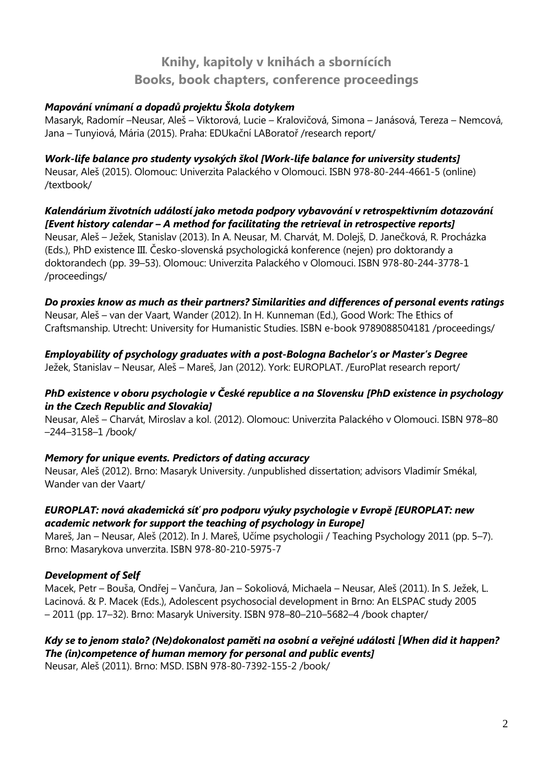# **Knihy, kapitoly v knihách a sbornících Books, book chapters, conference proceedings**

## <span id="page-1-0"></span>*Mapování vnímaní a dopadů projektu Škola dotykem*

Masaryk, Radomír –Neusar, Aleš – Viktorová, Lucie – Kralovičová, Simona – Janásová, Tereza – Nemcová, Jana – Tunyiová, Mária (2015). Praha: EDUkační LABoratoř /research report/

#### *Work-life balance pro studenty vysokých škol [Work-life balance for university students]*

Neusar, Aleš (2015). Olomouc: Univerzita Palackého v Olomouci. ISBN 978-80-244-4661-5 (online) /textbook/

*Kalendárium životních událostí jako metoda podpory vybavování v retrospektivním dotazování [Event history calendar – A method for facilitating the retrieval in retrospective reports]* Neusar, Aleš – Ježek, Stanislav (2013). In A. Neusar, M. Charvát, M. Dolejš, D. Janečková, R. Procházka (Eds.), PhD existence III. Česko-slovenská psychologická konference (nejen) pro doktorandy a doktorandech (pp. 39–53). Olomouc: Univerzita Palackého v Olomouci. ISBN 978-80-244-3778-1 /proceedings/

#### *Do proxies know as much as their partners? Similarities and differences of personal events ratings*

Neusar, Aleš – van der Vaart, Wander (2012). In H. Kunneman (Ed.), Good Work: The Ethics of Craftsmanship. Utrecht: University for Humanistic Studies. ISBN e-book 9789088504181 /proceedings/

#### *Employability of psychology graduates with a post-Bologna Bachelor's or Master's Degree*

Ježek, Stanislav – Neusar, Aleš – Mareš, Jan (2012). York: EUROPLAT. /EuroPlat research report/

#### *PhD existence v oboru psychologie v České republice a na Slovensku [PhD existence in psychology in the Czech Republic and Slovakia]*

Neusar, Aleš – Charvát, Miroslav a kol. (2012). Olomouc: Univerzita Palackého v Olomouci. ISBN 978–80 –244–3158–1 /book/

#### *Memory for unique events. Predictors of dating accuracy*

Neusar, Aleš (2012). Brno: Masaryk University. /unpublished dissertation; advisors Vladimír Smékal, Wander van der Vaart/

### *EUROPLAT: nová akademická síť pro podporu výuky psychologie v Evropě [EUROPLAT: new academic network for support the teaching of psychology in Europe]*

Mareš, Jan – Neusar, Aleš (2012). In J. Mareš, Učíme psychologii / Teaching Psychology 2011 (pp. 5–7). Brno: Masarykova unverzita. ISBN 978-80-210-5975-7

#### *Development of Self*

Macek, Petr – Bouša, Ondřej – Vančura, Jan – Sokoliová, Michaela – Neusar, Aleš (2011). In S. Ježek, L. Lacinová. & P. Macek (Eds.), Adolescent psychosocial development in Brno: An ELSPAC study 2005 – 2011 (pp. 17–32). Brno: Masaryk University. ISBN 978–80–210–5682–4 /book chapter/

### *Kdy se to jenom stalo? (Ne)dokonalost paměti na osobní a veřejné události [When did it happen? The (in)competence of human memory for personal and public events]*

Neusar, Aleš (2011). Brno: MSD. ISBN 978-80-7392-155-2 /book/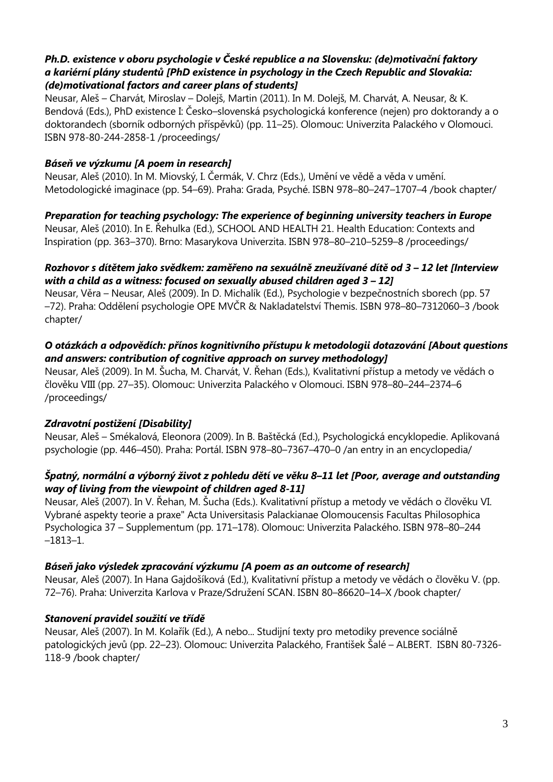### *Ph.D. existence v oboru psychologie v České republice a na Slovensku: (de)motivační faktory a kariérní plány studentů [PhD existence in psychology in the Czech Republic and Slovakia: (de)motivational factors and career plans of students]*

Neusar, Aleš – Charvát, Miroslav – Dolejš, Martin (2011). In M. Dolejš, M. Charvát, A. Neusar, & K. Bendová (Eds.), PhD existence I: Česko–slovenská psychologická konference (nejen) pro doktorandy a o doktorandech (sborník odborných příspěvků) (pp. 11–25). Olomouc: Univerzita Palackého v Olomouci. ISBN 978-80-244-2858-1 /proceedings/

### *Báseň ve výzkumu [A poem in research]*

Neusar, Aleš (2010). In M. Miovský, I. Čermák, V. Chrz (Eds.), Umění ve vědě a věda v umění. Metodologické imaginace (pp. 54–69). Praha: Grada, Psyché. ISBN 978–80–247–1707–4 /book chapter/

### *Preparation for teaching psychology: The experience of beginning university teachers in Europe*

Neusar, Aleš (2010). In E. Řehulka (Ed.), SCHOOL AND HEALTH 21. Health Education: Contexts and Inspiration (pp. 363–370). Brno: Masarykova Univerzita. ISBN 978–80–210–5259–8 /proceedings/

#### *Rozhovor s dítětem jako svědkem: zaměřeno na sexuálně zneužívané dítě od 3 – 12 let [Interview with a child as a witness: focused on sexually abused children aged 3 – 12]*

Neusar, Věra – Neusar, Aleš (2009). In D. Michalík (Ed.), Psychologie v bezpečnostních sborech (pp. 57 –72). Praha: Oddělení psychologie OPE MVČR & Nakladatelství Themis. ISBN 978–80–7312060–3 /book chapter/

### *O otázkách a odpovědích: přínos kognitivního přístupu k metodologii dotazování [About questions and answers: contribution of cognitive approach on survey methodology]*

Neusar, Aleš (2009). In M. Šucha, M. Charvát, V. Řehan (Eds.), Kvalitativní přístup a metody ve vědách o člověku VIII (pp. 27–35). Olomouc: Univerzita Palackého v Olomouci. ISBN 978–80–244–2374–6 /proceedings/

## *Zdravotní postižení [Disability]*

Neusar, Aleš – Smékalová, Eleonora (2009). In B. Baštěcká (Ed.), Psychologická encyklopedie. Aplikovaná psychologie (pp. 446–450). Praha: Portál. ISBN 978–80–7367–470–0 /an entry in an encyclopedia/

### *Špatný, normální a výborný život z pohledu dětí ve věku 8–11 let [Poor, average and outstanding way of living from the viewpoint of children aged 8-11]*

Neusar, Aleš (2007). In V. Řehan, M. Šucha (Eds.). Kvalitativní přístup a metody ve vědách o člověku VI. Vybrané aspekty teorie a praxe" Acta Universitasis Palackianae Olomoucensis Facultas Philosophica Psychologica 37 – Supplementum (pp. 171–178). Olomouc: Univerzita Palackého. ISBN 978–80–244 –1813–1.

#### *Báseň jako výsledek zpracování výzkumu [A poem as an outcome of research]*

Neusar, Aleš (2007). In Hana Gajdošíková (Ed.), Kvalitativní přístup a metody ve vědách o člověku V. (pp. 72–76). Praha: Univerzita Karlova v Praze/Sdružení SCAN. ISBN 80–86620–14–X /book chapter/

## *Stanovení pravidel soužití ve třídě*

Neusar, Aleš (2007). In M. Kolařík (Ed.), A nebo... Studijní texty pro metodiky prevence sociálně patologických jevů (pp. 22–23). Olomouc: Univerzita Palackého, František Šalé – ALBERT. ISBN 80-7326- 118-9 /book chapter/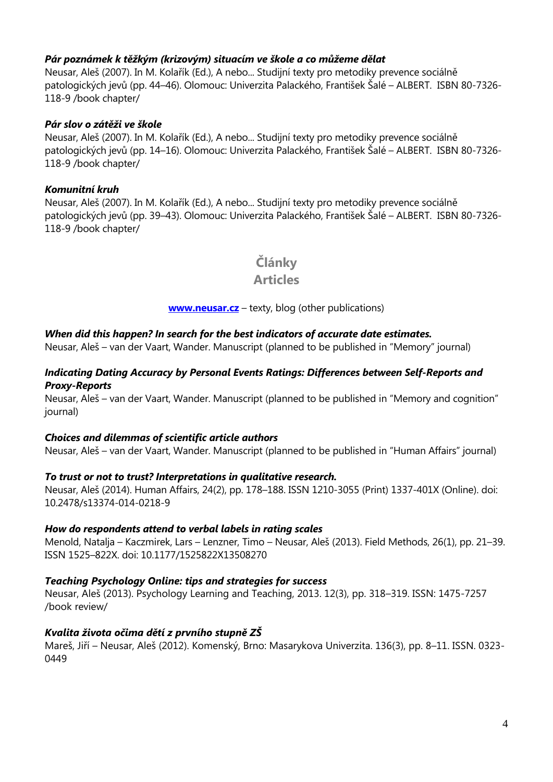#### *Pár poznámek k těžkým (krizovým) situacím ve škole a co můžeme dělat*

Neusar, Aleš (2007). In M. Kolařík (Ed.), A nebo... Studijní texty pro metodiky prevence sociálně patologických jevů (pp. 44–46). Olomouc: Univerzita Palackého, František Šalé – ALBERT. ISBN 80-7326- 118-9 /book chapter/

#### *Pár slov o zátěži ve škole*

Neusar, Aleš (2007). In M. Kolařík (Ed.), A nebo... Studijní texty pro metodiky prevence sociálně patologických jevů (pp. 14–16). Olomouc: Univerzita Palackého, František Šalé – ALBERT. ISBN 80-7326- 118-9 /book chapter/

#### *Komunitní kruh*

<span id="page-3-0"></span>Neusar, Aleš (2007). In M. Kolařík (Ed.), A nebo... Studijní texty pro metodiky prevence sociálně patologických jevů (pp. 39–43). Olomouc: Univerzita Palackého, František Šalé – ALBERT. ISBN 80-7326- 118-9 /book chapter/

**Články**

### **Articles**

**[www.neusar.cz](http://www.neusar.cz/)** – texty, blog (other publications)

#### *When did this happen? In search for the best indicators of accurate date estimates.*

Neusar, Aleš – van der Vaart, Wander. Manuscript (planned to be published in "Memory" journal)

#### *Indicating Dating Accuracy by Personal Events Ratings: Differences between Self-Reports and Proxy-Reports*

Neusar, Aleš – van der Vaart, Wander. Manuscript (planned to be published in "Memory and cognition" journal)

#### *Choices and dilemmas of scientific article authors*

Neusar, Aleš – van der Vaart, Wander. Manuscript (planned to be published in "Human Affairs" journal)

#### *To trust or not to trust? Interpretations in qualitative research.*

Neusar, Aleš (2014). Human Affairs, 24(2), pp. 178–188. ISSN 1210-3055 (Print) 1337-401X (Online). doi: 10.2478/s13374-014-0218-9

#### *How do respondents attend to verbal labels in rating scales*

Menold, Natalja – Kaczmirek, Lars – Lenzner, Timo – Neusar, Aleš (2013). Field Methods, 26(1), pp. 21–39. ISSN 1525–822X. doi: 10.1177/1525822X13508270

#### *Teaching Psychology Online: tips and strategies for success*

Neusar, Aleš (2013). Psychology Learning and Teaching, 2013. 12(3), pp. 318–319. ISSN: 1475-7257 /book review/

#### *Kvalita života očima dětí z prvního stupně ZŠ*

Mareš, Jiří – Neusar, Aleš (2012). Komenský, Brno: Masarykova Univerzita. 136(3), pp. 8–11. ISSN. 0323- 0449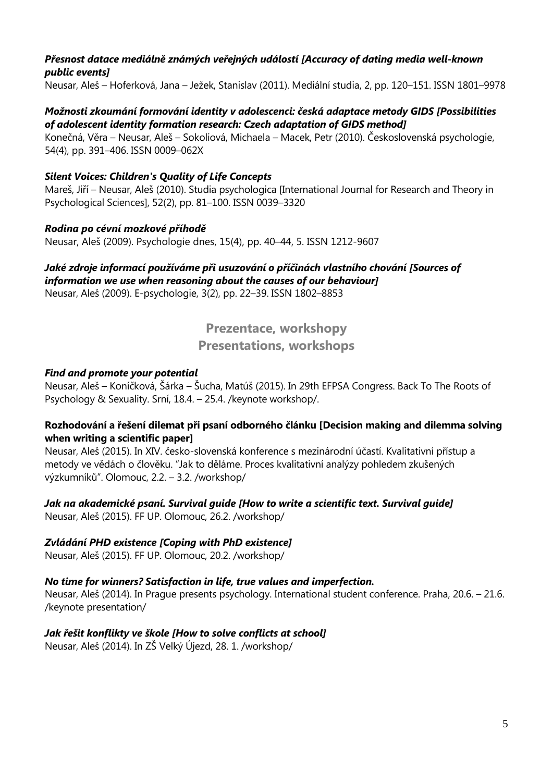#### *Přesnost datace mediálně známých veřejných událostí [Accuracy of dating media well-known public events]*

Neusar, Aleš – Hoferková, Jana – Ježek, Stanislav (2011). Mediální studia, 2, pp. 120–151. ISSN 1801–9978

#### *Možnosti zkoumání formování identity v adolescenci: česká adaptace metody GIDS [Possibilities of adolescent identity formation research: Czech adaptation of GIDS method]*

Konečná, Věra – Neusar, Aleš – Sokoliová, Michaela – Macek, Petr (2010). Československá psychologie, 54(4), pp. 391–406. ISSN 0009–062X

### *Silent Voices: Children's Quality of Life Concepts*

Mareš, Jiří – Neusar, Aleš (2010). Studia psychologica [International Journal for Research and Theory in Psychological Sciences], 52(2), pp. 81–100. ISSN 0039–3320

### *Rodina po cévní mozkové příhodě*

Neusar, Aleš (2009). Psychologie dnes, 15(4), pp. 40–44, 5. ISSN 1212-9607

# *Jaké zdroje informací používáme při usuzování o příčinách vlastního chování [Sources of information we use when reasoning about the causes of our behaviour]*

<span id="page-4-0"></span>Neusar, Aleš (2009). E-psychologie, 3(2), pp. 22–39. ISSN 1802–8853

**Prezentace, workshopy Presentations, workshops**

#### *Find and promote your potential*

Neusar, Aleš – Koníčková, Šárka – Šucha, Matúš (2015). In 29th EFPSA Congress. Back To The Roots of Psychology & Sexuality. Srní, 18.4. – 25.4. /keynote workshop/.

#### **Rozhodování a řešení dilemat při psaní odborného článku [Decision making and dilemma solving when writing a scientific paper]**

Neusar, Aleš (2015). In XIV. česko-slovenská konference s mezinárodní účastí. Kvalitativní přístup a metody ve vědách o člověku. "Jak to děláme. Proces kvalitativní analýzy pohledem zkušených výzkumníků". Olomouc, 2.2. – 3.2. /workshop/

## *Jak na akademické psaní. Survival guide [How to write a scientific text. Survival guide]*

Neusar, Aleš (2015). FF UP. Olomouc, 26.2. /workshop/

## *Zvládání PHD existence [Coping with PhD existence]*

Neusar, Aleš (2015). FF UP. Olomouc, 20.2. /workshop/

#### *No time for winners? Satisfaction in life, true values and imperfection.*

Neusar, Aleš (2014). In Prague presents psychology. International student conference. Praha, 20.6. – 21.6. /keynote presentation/

## *Jak řešit konflikty ve škole [How to solve conflicts at school]*

Neusar, Aleš (2014). In ZŠ Velký Újezd, 28. 1. /workshop/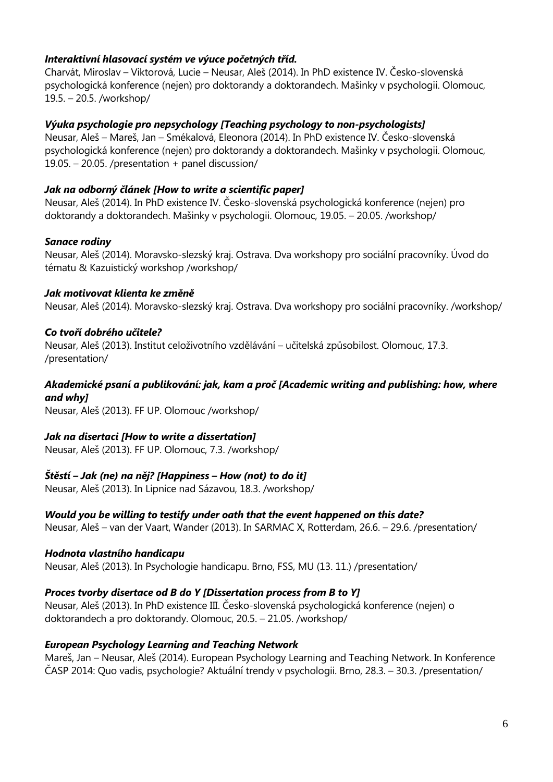### *Interaktivní hlasovací systém ve výuce početných tříd.*

Charvát, Miroslav – Viktorová, Lucie – Neusar, Aleš (2014). In PhD existence IV. Česko-slovenská psychologická konference (nejen) pro doktorandy a doktorandech. Mašinky v psychologii. Olomouc, 19.5. – 20.5. /workshop/

### *Výuka psychologie pro nepsychology [Teaching psychology to non-psychologists]*

Neusar, Aleš – Mareš, Jan – Smékalová, Eleonora (2014). In PhD existence IV. Česko-slovenská psychologická konference (nejen) pro doktorandy a doktorandech. Mašinky v psychologii. Olomouc, 19.05. – 20.05. /presentation + panel discussion/

#### *Jak na odborný článek [How to write a scientific paper]*

Neusar, Aleš (2014). In PhD existence IV. Česko-slovenská psychologická konference (nejen) pro doktorandy a doktorandech. Mašinky v psychologii. Olomouc, 19.05. – 20.05. /workshop/

#### *Sanace rodiny*

Neusar, Aleš (2014). Moravsko-slezský kraj. Ostrava. Dva workshopy pro sociální pracovníky. Úvod do tématu & Kazuistický workshop /workshop/

#### *Jak motivovat klienta ke změně*

Neusar, Aleš (2014). Moravsko-slezský kraj. Ostrava. Dva workshopy pro sociální pracovníky. /workshop/

#### *Co tvoří dobrého učitele?*

Neusar, Aleš (2013). Institut celoživotního vzdělávání – učitelská způsobilost. Olomouc, 17.3. /presentation/

#### *Akademické psaní a publikování: jak, kam a proč [Academic writing and publishing: how, where and why]*

Neusar, Aleš (2013). FF UP. Olomouc /workshop/

#### *Jak na disertaci [How to write a dissertation]*

Neusar, Aleš (2013). FF UP. Olomouc, 7.3. /workshop/

#### *Štěstí – Jak (ne) na něj? [Happiness – How (not) to do it]*

Neusar, Aleš (2013). In Lipnice nad Sázavou, 18.3. /workshop/

#### *Would you be willing to testify under oath that the event happened on this date?*

Neusar, Aleš – van der Vaart, Wander (2013). In SARMAC X, Rotterdam, 26.6. – 29.6. /presentation/

#### *Hodnota vlastního handicapu*

Neusar, Aleš (2013). In Psychologie handicapu. Brno, FSS, MU (13. 11.) /presentation/

#### *Proces tvorby disertace od B do Y [Dissertation process from B to Y]*

Neusar, Aleš (2013). In PhD existence III. Česko-slovenská psychologická konference (nejen) o doktorandech a pro doktorandy. Olomouc, 20.5. – 21.05. /workshop/

#### *European Psychology Learning and Teaching Network*

Mareš, Jan – Neusar, Aleš (2014). European Psychology Learning and Teaching Network. In Konference ČASP 2014: Quo vadis, psychologie? Aktuální trendy v psychologii. Brno, 28.3. – 30.3. /presentation/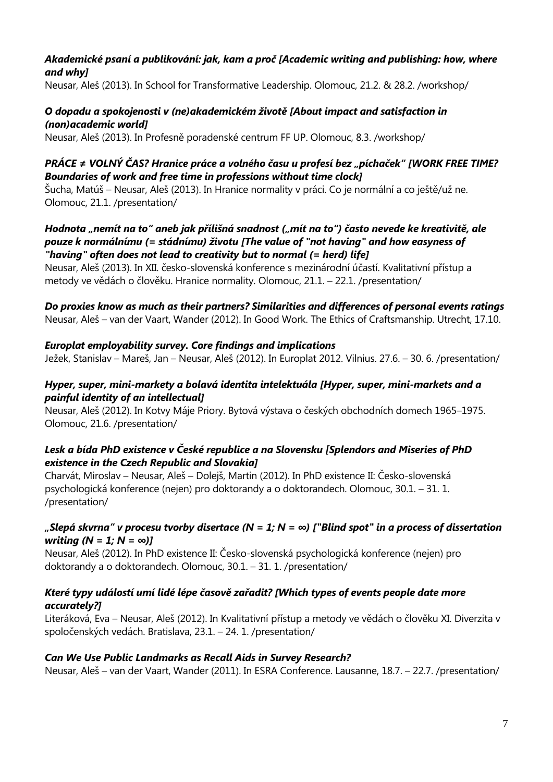### *Akademické psaní a publikování: jak, kam a proč [Academic writing and publishing: how, where and why]*

Neusar, Aleš (2013). In School for Transformative Leadership. Olomouc, 21.2. & 28.2. /workshop/

#### *O dopadu a spokojenosti v (ne)akademickém životě [About impact and satisfaction in (non)academic world]*

Neusar, Aleš (2013). In Profesně poradenské centrum FF UP. Olomouc, 8.3. /workshop/

## *PRÁCE ≠ VOLNÝ ČAS? Hranice práce a volného času u profesí bez "píchaček" [WORK FREE TIME? Boundaries of work and free time in professions without time clock]*

Šucha, Matúš – Neusar, Aleš (2013). In Hranice normality v práci. Co je normální a co ještě/už ne. Olomouc, 21.1. /presentation/

#### *Hodnota "nemít na to" aneb jak přílišná snadnost ("mít na to") často nevede ke kreativitě, ale pouze k normálnímu (= stádnímu) životu [The value of "not having" and how easyness of "having" often does not lead to creativity but to normal (= herd) life]*

Neusar, Aleš (2013). In XII. česko-slovenská konference s mezinárodní účastí. Kvalitativní přístup a metody ve vědách o člověku. Hranice normality. Olomouc, 21.1. – 22.1. /presentation/

#### *Do proxies know as much as their partners? Similarities and differences of personal events ratings* Neusar, Aleš – van der Vaart, Wander (2012). In Good Work. The Ethics of Craftsmanship. Utrecht, 17.10.

## *Europlat employability survey. Core findings and implications*

Ježek, Stanislav – Mareš, Jan – Neusar, Aleš (2012). In Europlat 2012. Vilnius. 27.6. – 30. 6. /presentation/

#### *Hyper, super, mini-markety a bolavá identita intelektuála [Hyper, super, mini-markets and a painful identity of an intellectual]*

Neusar, Aleš (2012). In Kotvy Máje Priory. Bytová výstava o českých obchodních domech 1965–1975. Olomouc, 21.6. /presentation/

### *Lesk a bída PhD existence v České republice a na Slovensku [Splendors and Miseries of PhD existence in the Czech Republic and Slovakia]*

Charvát, Miroslav – Neusar, Aleš – Dolejš, Martin (2012). In PhD existence II: Česko-slovenská psychologická konference (nejen) pro doktorandy a o doktorandech. Olomouc, 30.1. – 31. 1. /presentation/

#### *"Slepá skvrna" v procesu tvorby disertace (N = 1; N = ∞) ["Blind spot" in a process of dissertation writing (N = 1; N = ∞)]*

Neusar, Aleš (2012). In PhD existence II: Česko-slovenská psychologická konference (nejen) pro doktorandy a o doktorandech. Olomouc, 30.1. – 31. 1. /presentation/

### *Které typy událostí umí lidé lépe časově zařadit? [Which types of events people date more accurately?]*

Literáková, Eva – Neusar, Aleš (2012). In Kvalitativní přístup a metody ve vědách o člověku XI. Diverzita v spoločenských vedách. Bratislava, 23.1. – 24. 1. /presentation/

## *Can We Use Public Landmarks as Recall Aids in Survey Research?*

Neusar, Aleš – van der Vaart, Wander (2011). In ESRA Conference. Lausanne, 18.7. – 22.7. /presentation/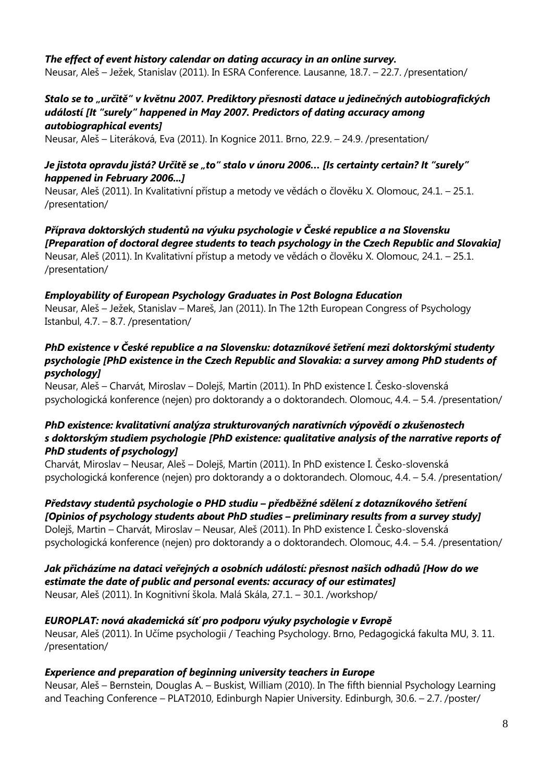#### *The effect of event history calendar on dating accuracy in an online survey.*

Neusar, Aleš – Ježek, Stanislav (2011). In ESRA Conference. Lausanne, 18.7. – 22.7. /presentation/

#### *Stalo se to "určitě" v květnu 2007. Prediktory přesnosti datace u jedinečných autobiografických událostí [It "surely" happened in May 2007. Predictors of dating accuracy among autobiographical events]*

Neusar, Aleš – Literáková, Eva (2011). In Kognice 2011. Brno, 22.9. – 24.9. /presentation/

#### *Je jistota opravdu jistá? Určitě se "to" stalo v únoru 2006… [Is certainty certain? It "surely" happened in February 2006...]*

Neusar, Aleš (2011). In Kvalitativní přístup a metody ve vědách o člověku X. Olomouc, 24.1. – 25.1. /presentation/

*Příprava doktorských studentů na výuku psychologie v České republice a na Slovensku [Preparation of doctoral degree students to teach psychology in the Czech Republic and Slovakia]* Neusar, Aleš (2011). In Kvalitativní přístup a metody ve vědách o člověku X. Olomouc, 24.1. – 25.1. /presentation/

#### *Employability of European Psychology Graduates in Post Bologna Education*

Neusar, Aleš – Ježek, Stanislav – Mareš, Jan (2011). In The 12th European Congress of Psychology Istanbul, 4.7. – 8.7. /presentation/

#### *PhD existence v České republice a na Slovensku: dotazníkové šetření mezi doktorskými studenty psychologie [PhD existence in the Czech Republic and Slovakia: a survey among PhD students of psychology]*

Neusar, Aleš – Charvát, Miroslav – Dolejš, Martin (2011). In PhD existence I. Česko-slovenská psychologická konference (nejen) pro doktorandy a o doktorandech. Olomouc, 4.4. – 5.4. /presentation/

#### *PhD existence: kvalitativní analýza strukturovaných narativních výpovědí o zkušenostech s doktorským studiem psychologie [PhD existence: qualitative analysis of the narrative reports of PhD students of psychology]*

Charvát, Miroslav – Neusar, Aleš – Dolejš, Martin (2011). In PhD existence I. Česko-slovenská psychologická konference (nejen) pro doktorandy a o doktorandech. Olomouc, 4.4. – 5.4. /presentation/

#### *Představy studentů psychologie o PHD studiu – předběžné sdělení z dotazníkového šetření [Opinios of psychology students about PhD studies – preliminary results from a survey study]*

Dolejš, Martin – Charvát, Miroslav – Neusar, Aleš (2011). In PhD existence I. Česko-slovenská psychologická konference (nejen) pro doktorandy a o doktorandech. Olomouc, 4.4. – 5.4. /presentation/

# *Jak přicházíme na dataci veřejných a osobních událostí: přesnost našich odhadů [How do we estimate the date of public and personal events: accuracy of our estimates]*

Neusar, Aleš (2011). In Kognitivní škola. Malá Skála, 27.1. – 30.1. /workshop/

#### *EUROPLAT: nová akademická síť pro podporu výuky psychologie v Evropě*

Neusar, Aleš (2011). In Učíme psychologii / Teaching Psychology. Brno, Pedagogická fakulta MU, 3. 11. /presentation/

#### *Experience and preparation of beginning university teachers in Europe*

Neusar, Aleš – Bernstein, Douglas A. – Buskist, William (2010). In The fifth biennial Psychology Learning and Teaching Conference – PLAT2010, Edinburgh Napier University. Edinburgh, 30.6. – 2.7. /poster/